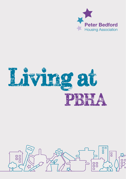



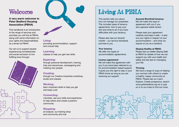# **A very warm welcome to Peter Bedford Housing Association (PBHA)**

This handbook is an introduction to the range of services and activities you will find at PBHA, along with some information on your rights and responsibilities as a tenant at PBHA.

Our aim is to support people experiencing homelessness and social exclusion to live fulfilling lives through:





### **Living:**

providing accommodation, support and mutual help

## **Learning:**

classes to help you get new skills

# **Exploring:**

through personal development, training, trips and adventures, campaigning and meeting new people

# **Creating:**

through our Creative Industries workshop, studio and classes

# **Working:**

learn important skills to help you get and keep a job

### **Connecting:**

volunteer, use your skills and experience to help others and create a positive community

# **Shopping:**

at Outpost, our training shop and community arts hub

This section tells you about how we manage our properties. This includes types of tenancy agreements, how to pay your rent and what to do if you have difficulties with your tenancy.

Please also see our tenants charter – our service standards promise to you.

**Your tenancy** We offer two types of accommodation agreements:

#### **Licence agreement:**

We will make this agreement with you if you have been referred to us for accommodation based support. It gives you the right to stay in your PBHA home as long as you are receiving our support.

**Assured Shorthold tenancy:** We will make this type of agreement with you if you are a general needs tenant.

Please read your agreement carefully and keep it safe – it sets out your rights in respect of your accommodation – and what we require of you as a landlord.

### **Staying Healthy at PBHA:**

Please see our leaflet *Staying Safe at PBHA* for details of how we can support you with your health and safety and top tips on managing your flat.

# **Thriving:**

We have a range of ways of helping you connect with others to create a healthy, happy community at PBHA. Please see our Learn, Explore, Create prospectus, search www.peterbedford.org.uk or pop on in to our hubs to find out more.

> 00  $\Box$

> > $\overline{a}$

П